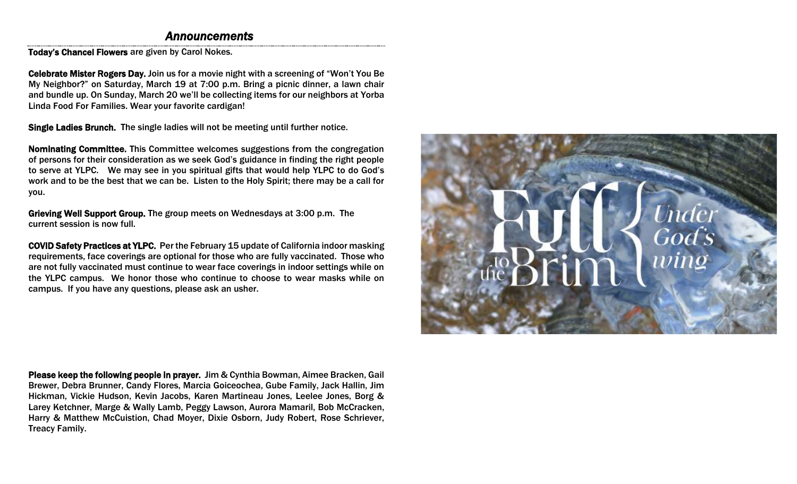## *Announcements*

Today's Chancel Flowers are given by Carol Nokes.

Celebrate Mister Rogers Day. Join us for a movie night with a screening of "Won't You Be My Neighbor?" on Saturday, March 19 at 7:00 p.m. Bring a picnic dinner, a lawn chair and bundle up. On Sunday, March 20 we'll be collecting items for our neighbors at Yorba Linda Food For Families. Wear your favorite cardigan!

Single Ladies Brunch. The single ladies will not be meeting until further notice.

Nominating Committee. This Committee welcomes suggestions from the congregation of persons for their consideration as we seek God's guidance in finding the right people to serve at YLPC. We may see in you spiritual gifts that would help YLPC to do God's work and to be the best that we can be. Listen to the Holy Spirit; there may be a call for you.

Grieving Well Support Group. The group meets on Wednesdays at 3:00 p.m. The current session is now full.

COVID Safety Practices at YLPC. Per the February 15 update of California indoor masking requirements, face coverings are optional for those who are fully vaccinated. Those who are not fully vaccinated must continue to wear face coverings in indoor settings while on the YLPC campus. We honor those who continue to choose to wear masks while on campus. If you have any questions, please ask an usher.

Please keep the following people in prayer. Jim & Cynthia Bowman, Aimee Bracken, Gail Brewer, Debra Brunner, Candy Flores, Marcia Goiceochea, Gube Family, Jack Hallin, Jim Hickman, Vickie Hudson, Kevin Jacobs, Karen Martineau Jones, Leelee Jones, Borg & Larey Ketchner, Marge & Wally Lamb, Peggy Lawson, Aurora Mamaril, Bob McCracken, Harry & Matthew McCuistion, Chad Moyer, Dixie Osborn, Judy Robert, Rose Schriever, Treacy Family.

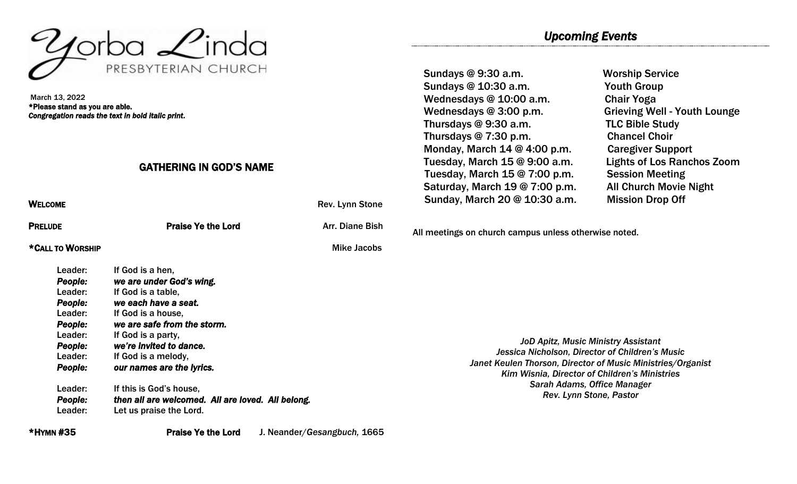

March 13, 2022 \*Please stand as you are able. *Congregation reads the text in bold italic print*.

#### GATHERING IN GOD'S NAME

WELCOME WELCOME **Rev.** Lynn Stone

**PRELUDE PRELUDE PRAISE Ye the Lord COVERTS ARRIVE ARRIVE PRELUDE** 

#### \*CALL TO WORSHIP Mike Jacobs

Leader: If God is a hen. *People: we are under God's wing.*  Leader: If God is a table, *People: we each have a seat.*  Leader: If God is a house. *People: we are safe from the storm.*  Leader: If God is a party, *People: we're invited to dance.*  Leader: If God is a melody, *People: our names are the lyrics.*  Leader: If this is God's house, *People: then all are welcomed. All are loved. All belong.*  Leader: Let us praise the Lord.

# *Upcoming Events*

Sundays @ 9:30 a.m. Worship Service Sundays @ 10:30 a.m. Youth Group Wednesdays @ 10:00 a.m. Chair Yoga Wednesdays @ 3:00 p.m. Grieving Well - Youth Lounge Thursdays @ 9:30 a.m. TLC Bible Study Thursdays @ 7:30 p.m. Chancel Choir Monday, March 14 @ 4:00 p.m. Caregiver Support Tuesday, March 15 @ 9:00 a.m. Lights of Los Ranchos Zoom Tuesday, March 15 @ 7:00 p.m. Session Meeting Saturday, March 19 @ 7:00 p.m. All Church Movie Night Sunday, March 20 @ 10:30 a.m. Mission Drop Off

All meetings on church campus unless otherwise noted.

*JoD Apitz, Music Ministry Assistant Jessica Nicholson, Director of Children's Music Janet Keulen Thorson, Director of Music Ministries/Organist Kim Wisnia, Director of Children's Ministries Sarah Adams, Office Manager Rev. Lynn Stone, Pastor*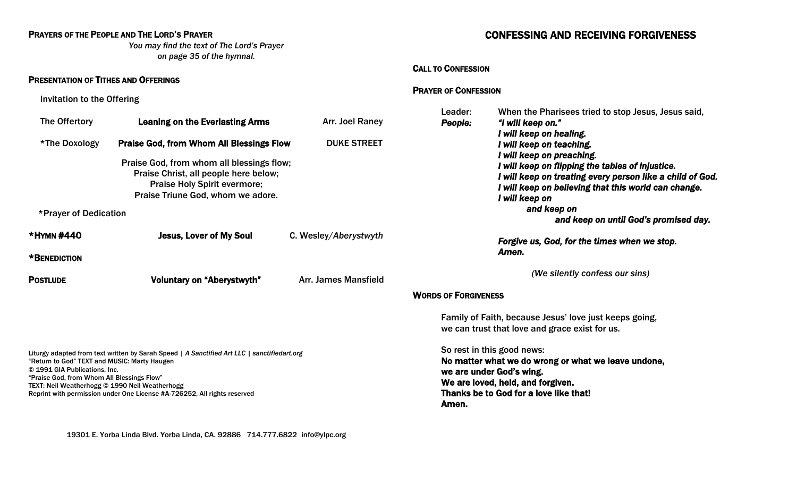### PRAYERS OF THE PEOPLE AND THE LORD'S PRAYER

*You may find the text of The Lord's Prayer on page 35 of the hymnal.*

#### PRESENTATION OF TITHES AND OFFERINGS

Invitation to the Offering

| The Offertory                                                                                                                                                                                                                                                                                                                                            | <b>Leaning on the Everlasting Arms</b>                                                                                                                                       | Arr. Joel Raney             | Leader:<br>People:<br>"I will keep on."                                                                                                                                                                                                                   | When the Pharisees tried to stop Jesus, Jesus said, |  |
|----------------------------------------------------------------------------------------------------------------------------------------------------------------------------------------------------------------------------------------------------------------------------------------------------------------------------------------------------------|------------------------------------------------------------------------------------------------------------------------------------------------------------------------------|-----------------------------|-----------------------------------------------------------------------------------------------------------------------------------------------------------------------------------------------------------------------------------------------------------|-----------------------------------------------------|--|
| *The Doxology                                                                                                                                                                                                                                                                                                                                            | <b>Praise God, from Whom All Blessings Flow</b><br>Praise God, from whom all blessings flow;<br>Praise Christ, all people here below;<br><b>Praise Holy Spirit evermore;</b> | <b>DUKE STREET</b>          | I will keep on healing.<br>I will keep on teaching.<br>I will keep on preaching.<br>I will keep on flipping the tables of injustice.<br>I will keep on treating every person like a child of God.<br>I will keep on believing that this world can change. |                                                     |  |
| Praise Triune God, whom we adore.<br>*Prayer of Dedication                                                                                                                                                                                                                                                                                               |                                                                                                                                                                              |                             | I will keep on<br>and keep on<br>and keep on until God's promised day.                                                                                                                                                                                    |                                                     |  |
| *HYMN #440<br>*BENEDICTION                                                                                                                                                                                                                                                                                                                               | <b>Jesus, Lover of My Soul</b>                                                                                                                                               | C. Wesley/Aberystwyth       | Forgive us, God, for the times when we stop.<br>Amen.                                                                                                                                                                                                     |                                                     |  |
| <b>POSTLUDE</b>                                                                                                                                                                                                                                                                                                                                          | <b>Voluntary on "Aberystwyth"</b>                                                                                                                                            | <b>Arr. James Mansfield</b> | (We silently confess our sins)                                                                                                                                                                                                                            |                                                     |  |
|                                                                                                                                                                                                                                                                                                                                                          |                                                                                                                                                                              |                             | <b>WORDS OF FORGIVENESS</b>                                                                                                                                                                                                                               |                                                     |  |
|                                                                                                                                                                                                                                                                                                                                                          |                                                                                                                                                                              |                             | Family of Faith, because Jesus' love just keeps going,<br>we can trust that love and grace exist for us.                                                                                                                                                  |                                                     |  |
| Liturgy adapted from text written by Sarah Speed   A Sanctified Art LLC   sanctifiedart.org<br>"Return to God" TEXT and MUSIC: Marty Haugen<br>© 1991 GIA Publications, Inc.<br>"Praise God, from Whom All Blessings Flow"<br>TEXT: Neil Weatherhogg © 1990 Neil Weatherhogg<br>Reprint with permission under One License #A-726252, All rights reserved |                                                                                                                                                                              |                             | So rest in this good news:<br>No matter what we do wrong or what we leave undone,<br>we are under God's wing.<br>We are loved, held, and forgiven.<br>Thanks be to God for a love like that!<br>Amen.                                                     |                                                     |  |

## CALL TO CONFESSION

#### PRAYER OF CONFESSION